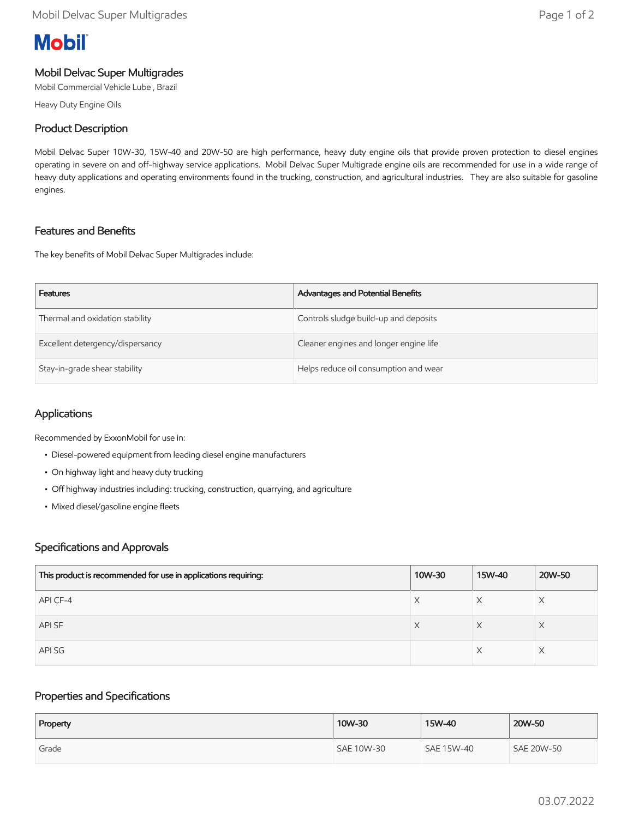# **Mobil**

## Mobil Delvac Super Multigrades

Mobil Commercial Vehicle Lube , Brazil

Heavy Duty Engine Oils

## Product Description

Mobil Delvac Super 10W-30, 15W-40 and 20W-50 are high performance, heavy duty engine oils that provide proven protection to diesel engines operating in severe on and off-highway service applications. Mobil Delvac Super Multigrade engine oils are recommended for use in a wide range of heavy duty applications and operating environments found in the trucking, construction, and agricultural industries. They are also suitable for gasoline engines.

## Features and Benefits

The key benefits of Mobil Delvac Super Multigrades include:

| <b>Features</b>                  | Advantages and Potential Benefits      |
|----------------------------------|----------------------------------------|
| Thermal and oxidation stability  | Controls sludge build-up and deposits  |
| Excellent detergency/dispersancy | Cleaner engines and longer engine life |
| Stay-in-grade shear stability    | Helps reduce oil consumption and wear  |

## Applications

Recommended by ExxonMobil for use in:

- Diesel-powered equipment from leading diesel engine manufacturers
- On highway light and heavy duty trucking
- Off highway industries including: trucking, construction, quarrying, and agriculture
- Mixed diesel/gasoline engine fleets

### Specifications and Approvals

| This product is recommended for use in applications requiring: | 10W-30 | 15W-40 | 20W-50 |
|----------------------------------------------------------------|--------|--------|--------|
| API CF-4                                                       | X      |        |        |
| API SF                                                         | X      | X      | X      |
| API SG                                                         |        |        |        |

### Properties and Specifications

| Property | 10W-30     | 15W-40     | 20W-50            |
|----------|------------|------------|-------------------|
| Grade    | SAE 10W-30 | SAE 15W-40 | <b>SAE 20W-50</b> |